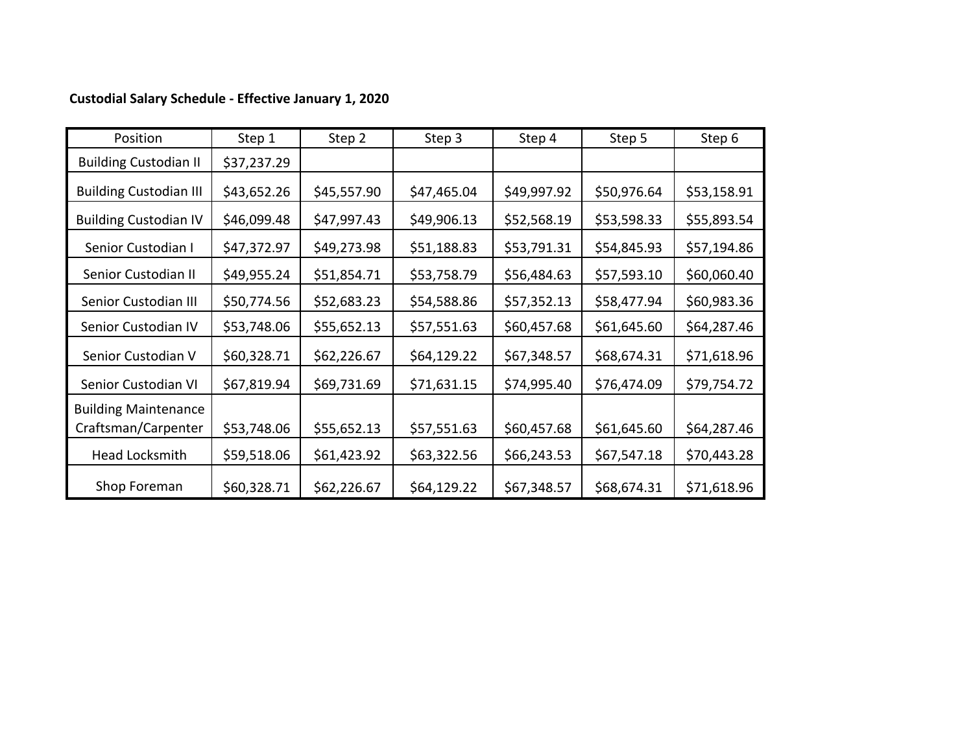## **Custodial Salary Schedule ‐ Effective January 1, 2020**

| Position                                           | Step 1      | Step 2      | Step 3      | Step 4      | Step 5      | Step 6      |
|----------------------------------------------------|-------------|-------------|-------------|-------------|-------------|-------------|
| <b>Building Custodian II</b>                       | \$37,237.29 |             |             |             |             |             |
| <b>Building Custodian III</b>                      | \$43,652.26 | \$45,557.90 | \$47,465.04 | \$49,997.92 | \$50,976.64 | \$53,158.91 |
| <b>Building Custodian IV</b>                       | \$46,099.48 | \$47,997.43 | \$49,906.13 | \$52,568.19 | \$53,598.33 | \$55,893.54 |
| Senior Custodian I                                 | \$47,372.97 | \$49,273.98 | \$51,188.83 | \$53,791.31 | \$54,845.93 | \$57,194.86 |
| Senior Custodian II                                | \$49,955.24 | \$51,854.71 | \$53,758.79 | \$56,484.63 | \$57,593.10 | \$60,060.40 |
| Senior Custodian III                               | \$50,774.56 | \$52,683.23 | \$54,588.86 | \$57,352.13 | \$58,477.94 | \$60,983.36 |
| Senior Custodian IV                                | \$53,748.06 | \$55,652.13 | \$57,551.63 | \$60,457.68 | \$61,645.60 | \$64,287.46 |
| Senior Custodian V                                 | \$60,328.71 | \$62,226.67 | \$64,129.22 | \$67,348.57 | \$68,674.31 | \$71,618.96 |
| Senior Custodian VI                                | \$67,819.94 | \$69,731.69 | \$71,631.15 | \$74,995.40 | \$76,474.09 | \$79,754.72 |
| <b>Building Maintenance</b><br>Craftsman/Carpenter | \$53,748.06 | \$55,652.13 | \$57,551.63 | \$60,457.68 | \$61,645.60 | \$64,287.46 |
| Head Locksmith                                     | \$59,518.06 | \$61,423.92 | \$63,322.56 | \$66,243.53 | \$67,547.18 | \$70,443.28 |
| Shop Foreman                                       | \$60,328.71 | \$62,226.67 | \$64,129.22 | \$67,348.57 | \$68,674.31 | \$71,618.96 |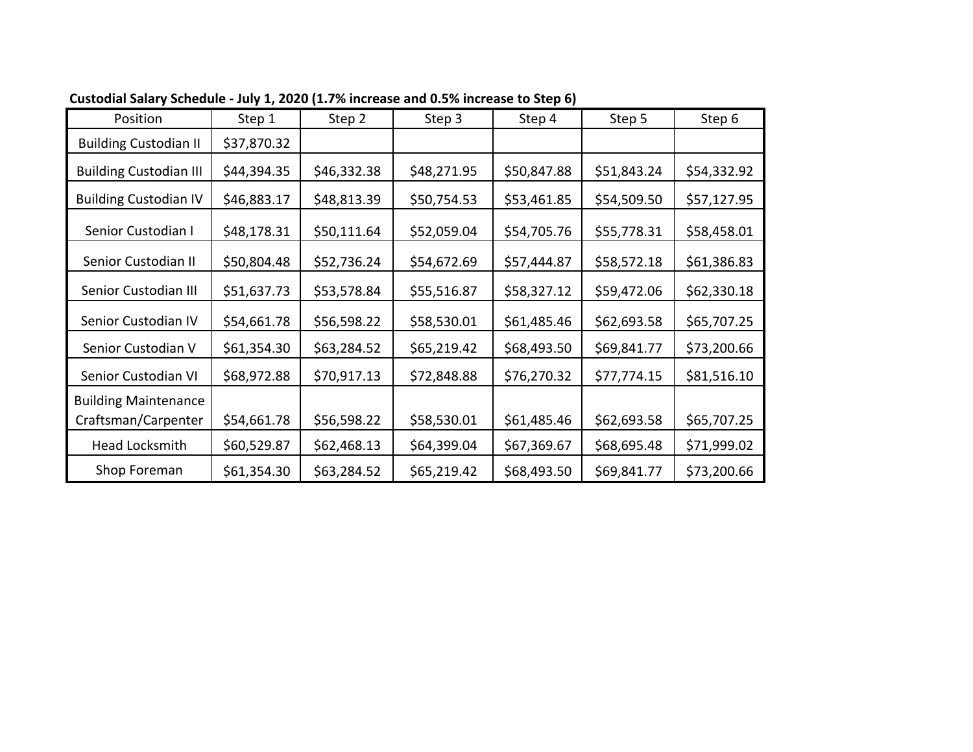| Position                                           | Step 1      | Step 2      | Step 3      | Step 4      | Step 5      | Step 6      |
|----------------------------------------------------|-------------|-------------|-------------|-------------|-------------|-------------|
| <b>Building Custodian II</b>                       | \$37,870.32 |             |             |             |             |             |
| <b>Building Custodian III</b>                      | \$44,394.35 | \$46,332.38 | \$48,271.95 | \$50,847.88 | \$51,843.24 | \$54,332.92 |
| <b>Building Custodian IV</b>                       | \$46,883.17 | \$48,813.39 | \$50,754.53 | \$53,461.85 | \$54,509.50 | \$57,127.95 |
| Senior Custodian I                                 | \$48,178.31 | \$50,111.64 | \$52,059.04 | \$54,705.76 | \$55,778.31 | \$58,458.01 |
| Senior Custodian II                                | \$50,804.48 | \$52,736.24 | \$54,672.69 | \$57,444.87 | \$58,572.18 | \$61,386.83 |
| Senior Custodian III                               | \$51,637.73 | \$53,578.84 | \$55,516.87 | \$58,327.12 | \$59,472.06 | \$62,330.18 |
| Senior Custodian IV                                | \$54,661.78 | \$56,598.22 | \$58,530.01 | \$61,485.46 | \$62,693.58 | \$65,707.25 |
| Senior Custodian V                                 | \$61,354.30 | \$63,284.52 | \$65,219.42 | \$68,493.50 | \$69,841.77 | \$73,200.66 |
| Senior Custodian VI                                | \$68,972.88 | \$70,917.13 | \$72,848.88 | \$76,270.32 | \$77,774.15 | \$81,516.10 |
| <b>Building Maintenance</b><br>Craftsman/Carpenter | \$54,661.78 | \$56,598.22 | \$58,530.01 | \$61,485.46 | \$62,693.58 | \$65,707.25 |
| Head Locksmith                                     | \$60,529.87 | \$62,468.13 | \$64,399.04 | \$67,369.67 | \$68,695.48 | \$71,999.02 |
| Shop Foreman                                       | \$61,354.30 | \$63,284.52 | \$65,219.42 | \$68,493.50 | \$69,841.77 | \$73,200.66 |

**Custodial Salary Schedule ‐ July 1, 2020 (1.7% increase and 0.5% increase to Step 6)**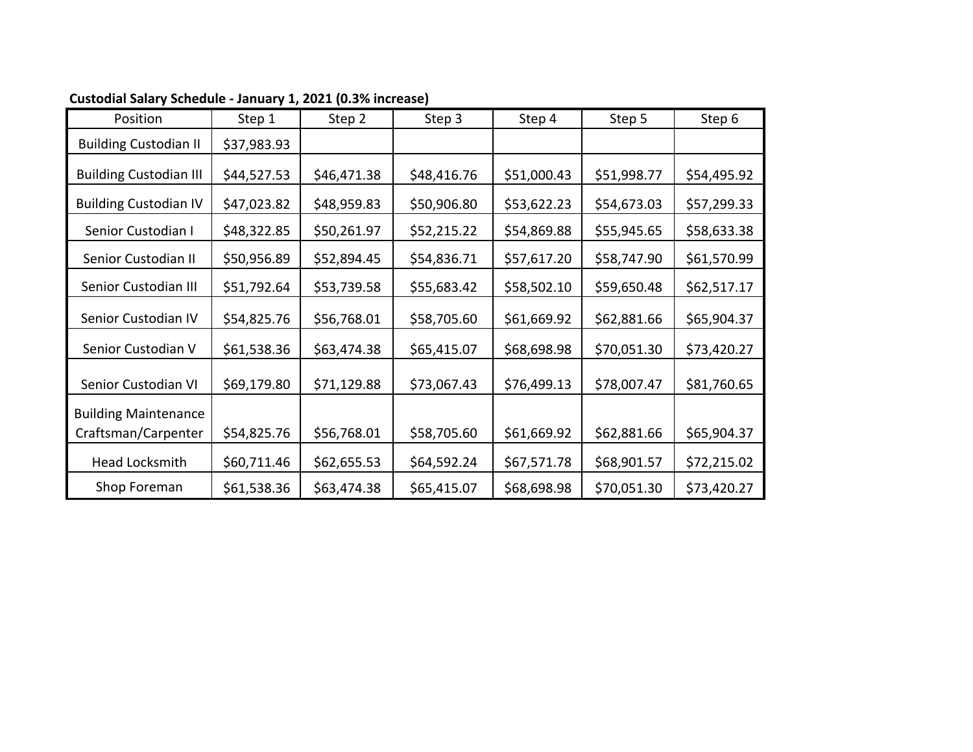| Position                      | Step 1      | Step 2      | Step 3      | Step 4      | Step 5      | Step 6      |
|-------------------------------|-------------|-------------|-------------|-------------|-------------|-------------|
| <b>Building Custodian II</b>  | \$37,983.93 |             |             |             |             |             |
| <b>Building Custodian III</b> | \$44,527.53 | \$46,471.38 | \$48,416.76 | \$51,000.43 | \$51,998.77 | \$54,495.92 |
| <b>Building Custodian IV</b>  | \$47,023.82 | \$48,959.83 | \$50,906.80 | \$53,622.23 | \$54,673.03 | \$57,299.33 |
| Senior Custodian I            | \$48,322.85 | \$50,261.97 | \$52,215.22 | \$54,869.88 | \$55,945.65 | \$58,633.38 |
| Senior Custodian II           | \$50,956.89 | \$52,894.45 | \$54,836.71 | \$57,617.20 | \$58,747.90 | \$61,570.99 |
| Senior Custodian III          | \$51,792.64 | \$53,739.58 | \$55,683.42 | \$58,502.10 | \$59,650.48 | \$62,517.17 |
| Senior Custodian IV           | \$54,825.76 | \$56,768.01 | \$58,705.60 | \$61,669.92 | \$62,881.66 | \$65,904.37 |
| Senior Custodian V            | \$61,538.36 | \$63,474.38 | \$65,415.07 | \$68,698.98 | \$70,051.30 | \$73,420.27 |
| Senior Custodian VI           | \$69,179.80 | \$71,129.88 | \$73,067.43 | \$76,499.13 | \$78,007.47 | \$81,760.65 |
| <b>Building Maintenance</b>   |             |             |             |             |             |             |
| Craftsman/Carpenter           | \$54,825.76 | \$56,768.01 | \$58,705.60 | \$61,669.92 | \$62,881.66 | \$65,904.37 |
| Head Locksmith                | \$60,711.46 | \$62,655.53 | \$64,592.24 | \$67,571.78 | \$68,901.57 | \$72,215.02 |
| Shop Foreman                  | \$61,538.36 | \$63,474.38 | \$65,415.07 | \$68,698.98 | \$70,051.30 | \$73,420.27 |

## **Custodial Salary Schedule ‐ January 1, 2021 (0.3% increase)**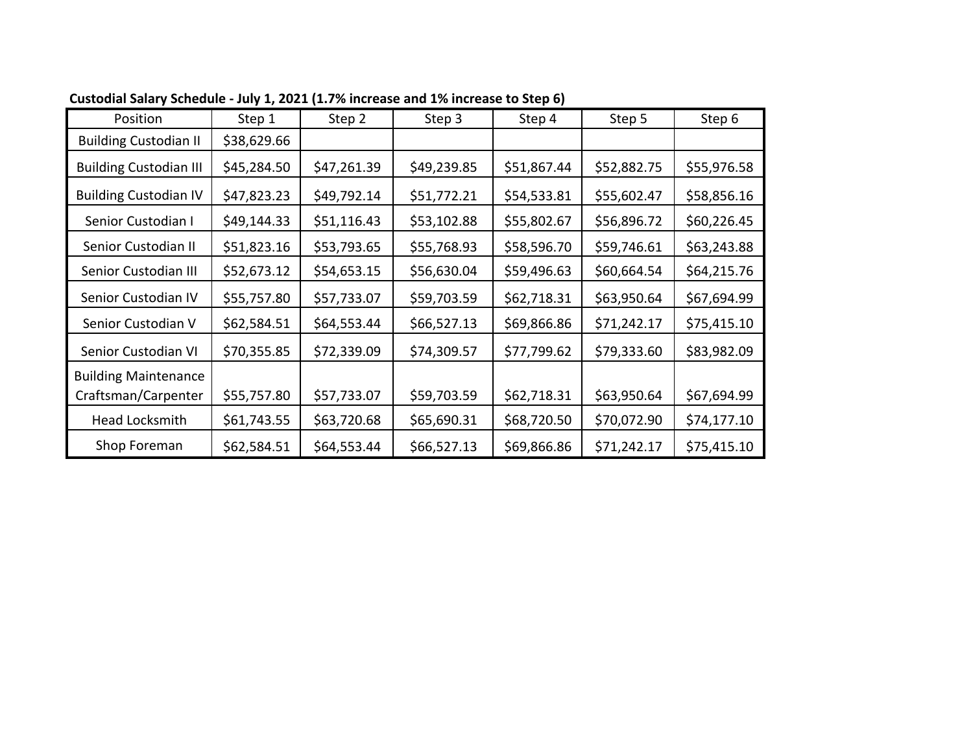| Position                      | Step 1      | Step 2      | Step 3      | Step 4      | Step 5      | Step 6      |
|-------------------------------|-------------|-------------|-------------|-------------|-------------|-------------|
| <b>Building Custodian II</b>  | \$38,629.66 |             |             |             |             |             |
| <b>Building Custodian III</b> | \$45,284.50 | \$47,261.39 | \$49,239.85 | \$51,867.44 | \$52,882.75 | \$55,976.58 |
| <b>Building Custodian IV</b>  | \$47,823.23 | \$49,792.14 | \$51,772.21 | \$54,533.81 | \$55,602.47 | \$58,856.16 |
| Senior Custodian I            | \$49,144.33 | \$51,116.43 | \$53,102.88 | \$55,802.67 | \$56,896.72 | \$60,226.45 |
| Senior Custodian II           | \$51,823.16 | \$53,793.65 | \$55,768.93 | \$58,596.70 | \$59,746.61 | \$63,243.88 |
| Senior Custodian III          | \$52,673.12 | \$54,653.15 | \$56,630.04 | \$59,496.63 | \$60,664.54 | \$64,215.76 |
| Senior Custodian IV           | \$55,757.80 | \$57,733.07 | \$59,703.59 | \$62,718.31 | \$63,950.64 | \$67,694.99 |
| Senior Custodian V            | \$62,584.51 | \$64,553.44 | \$66,527.13 | \$69,866.86 | \$71,242.17 | \$75,415.10 |
| Senior Custodian VI           | \$70,355.85 | \$72,339.09 | \$74,309.57 | \$77,799.62 | \$79,333.60 | \$83,982.09 |
| <b>Building Maintenance</b>   |             |             |             |             |             |             |
| Craftsman/Carpenter           | \$55,757.80 | \$57,733.07 | \$59,703.59 | \$62,718.31 | \$63,950.64 | \$67,694.99 |
| Head Locksmith                | \$61,743.55 | \$63,720.68 | \$65,690.31 | \$68,720.50 | \$70,072.90 | \$74,177.10 |
| Shop Foreman                  | \$62,584.51 | \$64,553.44 | \$66,527.13 | \$69,866.86 | \$71,242.17 | \$75,415.10 |

**Custodial Salary Schedule ‐ July 1, 2021 (1.7% increase and 1% increase to Step 6)**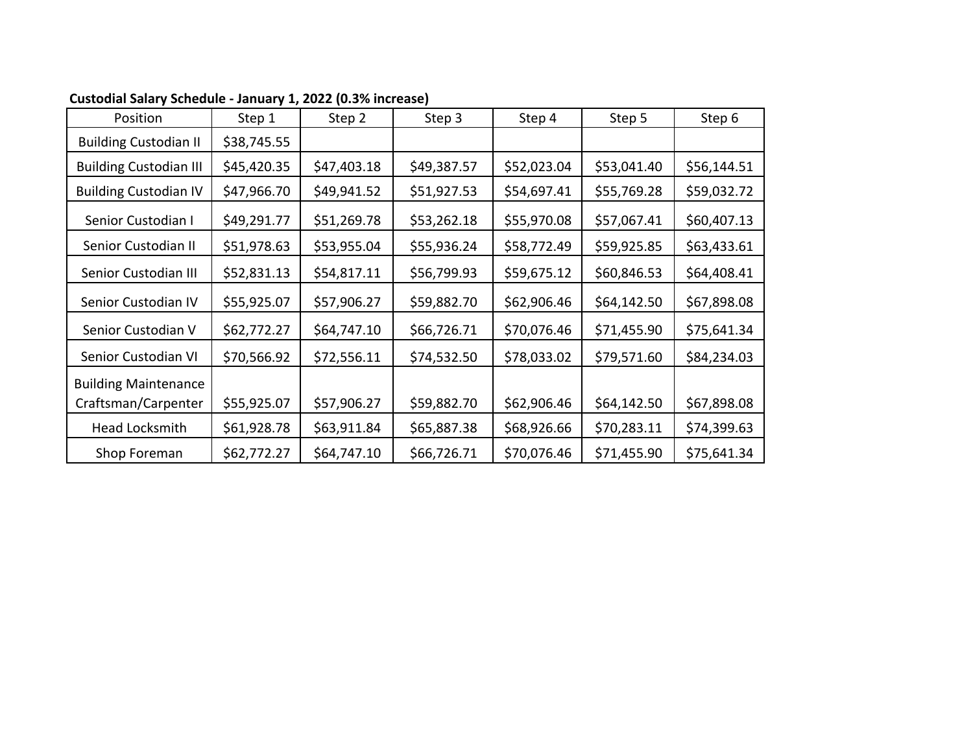| Position                                           | Step 1      | Step 2      | Step 3      | Step 4      | Step 5      | Step 6      |
|----------------------------------------------------|-------------|-------------|-------------|-------------|-------------|-------------|
| <b>Building Custodian II</b>                       | \$38,745.55 |             |             |             |             |             |
| <b>Building Custodian III</b>                      | \$45,420.35 | \$47,403.18 | \$49,387.57 | \$52,023.04 | \$53,041.40 | \$56,144.51 |
| <b>Building Custodian IV</b>                       | \$47,966.70 | \$49,941.52 | \$51,927.53 | \$54,697.41 | \$55,769.28 | \$59,032.72 |
| Senior Custodian I                                 | \$49,291.77 | \$51,269.78 | \$53,262.18 | \$55,970.08 | \$57,067.41 | \$60,407.13 |
| Senior Custodian II                                | \$51,978.63 | \$53,955.04 | \$55,936.24 | \$58,772.49 | \$59,925.85 | \$63,433.61 |
| Senior Custodian III                               | \$52,831.13 | \$54,817.11 | \$56,799.93 | \$59,675.12 | \$60,846.53 | \$64,408.41 |
| Senior Custodian IV                                | \$55,925.07 | \$57,906.27 | \$59,882.70 | \$62,906.46 | \$64,142.50 | \$67,898.08 |
| Senior Custodian V                                 | \$62,772.27 | \$64,747.10 | \$66,726.71 | \$70,076.46 | \$71,455.90 | \$75,641.34 |
| Senior Custodian VI                                | \$70,566.92 | \$72,556.11 | \$74,532.50 | \$78,033.02 | \$79,571.60 | \$84,234.03 |
| <b>Building Maintenance</b><br>Craftsman/Carpenter | \$55,925.07 | \$57,906.27 | \$59,882.70 | \$62,906.46 | \$64,142.50 | \$67,898.08 |
| Head Locksmith                                     | \$61,928.78 | \$63,911.84 | \$65,887.38 | \$68,926.66 | \$70,283.11 | \$74,399.63 |
| Shop Foreman                                       | \$62,772.27 | \$64,747.10 | \$66,726.71 | \$70,076.46 | \$71,455.90 | \$75,641.34 |

## **Custodial Salary Schedule ‐ January 1, 2022 (0.3% increase)**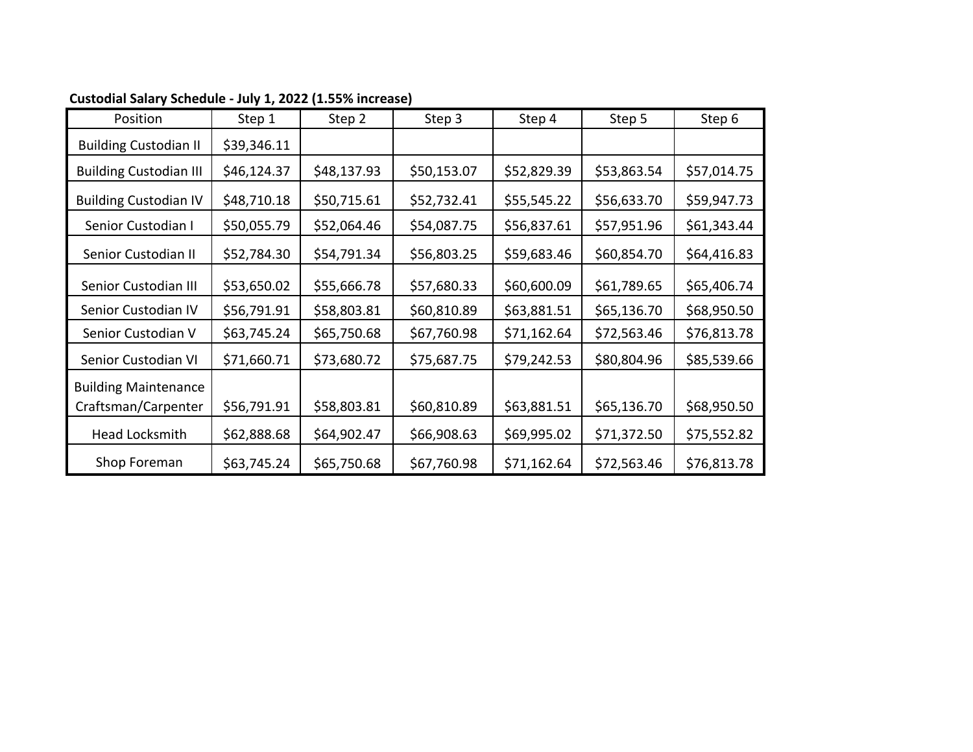| Position                                           | Step 1      | Step 2      | Step 3      | Step 4      | Step 5      | Step 6      |
|----------------------------------------------------|-------------|-------------|-------------|-------------|-------------|-------------|
| <b>Building Custodian II</b>                       | \$39,346.11 |             |             |             |             |             |
| <b>Building Custodian III</b>                      | \$46,124.37 | \$48,137.93 | \$50,153.07 | \$52,829.39 | \$53,863.54 | \$57,014.75 |
| <b>Building Custodian IV</b>                       | \$48,710.18 | \$50,715.61 | \$52,732.41 | \$55,545.22 | \$56,633.70 | \$59,947.73 |
| Senior Custodian I                                 | \$50,055.79 | \$52,064.46 | \$54,087.75 | \$56,837.61 | \$57,951.96 | \$61,343.44 |
| Senior Custodian II                                | \$52,784.30 | \$54,791.34 | \$56,803.25 | \$59,683.46 | \$60,854.70 | \$64,416.83 |
| Senior Custodian III                               | \$53,650.02 | \$55,666.78 | \$57,680.33 | \$60,600.09 | \$61,789.65 | \$65,406.74 |
| Senior Custodian IV                                | \$56,791.91 | \$58,803.81 | \$60,810.89 | \$63,881.51 | \$65,136.70 | \$68,950.50 |
| Senior Custodian V                                 | \$63,745.24 | \$65,750.68 | \$67,760.98 | \$71,162.64 | \$72,563.46 | \$76,813.78 |
| Senior Custodian VI                                | \$71,660.71 | \$73,680.72 | \$75,687.75 | \$79,242.53 | \$80,804.96 | \$85,539.66 |
| <b>Building Maintenance</b><br>Craftsman/Carpenter | \$56,791.91 | \$58,803.81 | \$60,810.89 | \$63,881.51 | \$65,136.70 | \$68,950.50 |
| Head Locksmith                                     | \$62,888.68 | \$64,902.47 | \$66,908.63 | \$69,995.02 | \$71,372.50 | \$75,552.82 |
| Shop Foreman                                       | \$63,745.24 | \$65,750.68 | \$67,760.98 | \$71,162.64 | \$72,563.46 | \$76,813.78 |

## **Custodial Salary Schedule ‐ July 1, 2022 (1.55% increase)**